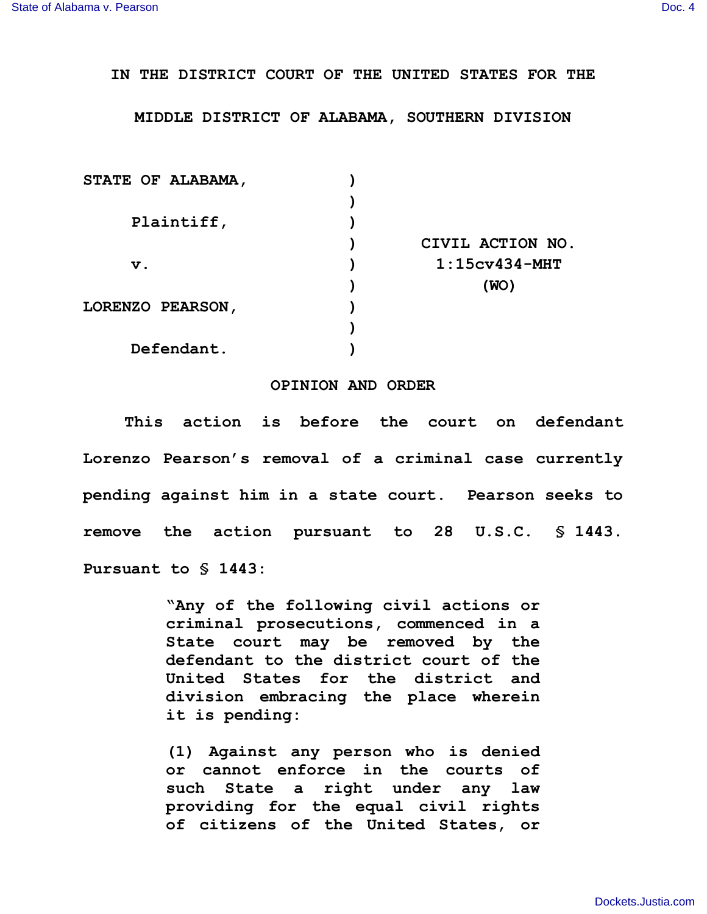## **IN THE DISTRICT COURT OF THE UNITED STATES FOR THE**

## **MIDDLE DISTRICT OF ALABAMA, SOUTHERN DIVISION**

| STATE OF ALABAMA, |                  |
|-------------------|------------------|
|                   |                  |
| Plaintiff,        |                  |
|                   | CIVIL ACTION NO. |
| $\mathbf v$ .     | $1:15cv434-MHT$  |
|                   | (WO)             |
| LORENZO PEARSON,  |                  |
|                   |                  |
| Defendant.        |                  |

## **OPINION AND ORDER**

**This action is before the court on defendant Lorenzo Pearson's removal of a criminal case currently pending against him in a state court. Pearson seeks to remove the action pursuant to 28 U.S.C. § 1443. Pursuant to § 1443:**

> **"Any of the following civil actions or criminal prosecutions, commenced in a State court may be removed by the defendant to the district court of the United States for the district and division embracing the place wherein it is pending:**

> **(1) Against any person who is denied or cannot enforce in the courts of such State a right under any law providing for the equal civil rights of citizens of the United States, or**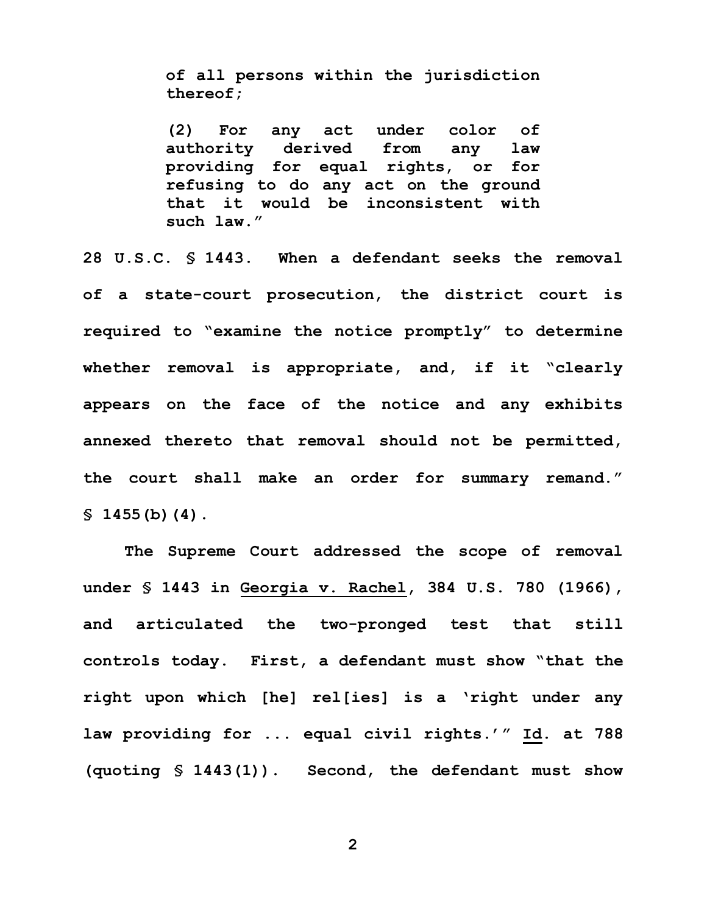**of all persons within the jurisdiction thereof;**

**(2) For any act under color of authority derived from any law providing for equal rights, or for refusing to do any act on the ground that it would be inconsistent with such law."**

**28 U.S.C. § 1443. When a defendant seeks the removal of a state-court prosecution, the district court is required to "examine the notice promptly" to determine whether removal is appropriate, and, if it "clearly appears on the face of the notice and any exhibits annexed thereto that removal should not be permitted, the court shall make an order for summary remand." § 1455(b)(4).**

**The Supreme Court addressed the scope of removal under § 1443 in Georgia v. Rachel, 384 U.S. 780 (1966), and articulated the two-pronged test that still controls today. First, a defendant must show "that the right upon which [he] rel[ies] is a 'right under any law providing for ... equal civil rights.'" Id. at 788 (quoting § 1443(1)). Second, the defendant must show**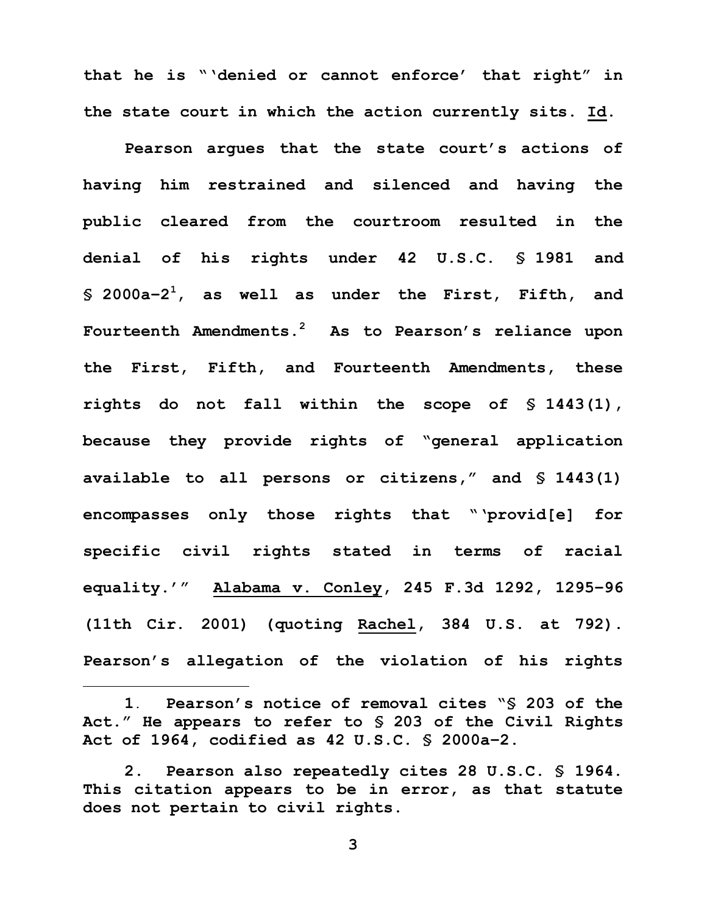**that he is "'denied or cannot enforce' that right" in the state court in which the action currently sits. Id.**

**Pearson argues that the state court's actions of having him restrained and silenced and having the public cleared from the courtroom resulted in the denial of his rights under 42 U.S.C. § 1981 and § 2000a–2 <sup>1</sup>, as well as under the First, Fifth, and Fourteenth Amendments.<sup>2</sup> As to Pearson's reliance upon the First, Fifth, and Fourteenth Amendments, these rights do not fall within the scope of § 1443(1), because they provide rights of "general application available to all persons or citizens," and § 1443(1) encompasses only those rights that "'provid[e] for specific civil rights stated in terms of racial equality.'" Alabama v. Conley, 245 F.3d 1292, 1295–96 (11th Cir. 2001) (quoting Rachel, 384 U.S. at 792). Pearson's allegation of the violation of his rights** 

**1**. **Pearson's notice of removal cites "§ 203 of the Act." He appears to refer to § 203 of the Civil Rights Act of 1964, codified as 42 U.S.C. § 2000a–2.**

i

**<sup>2.</sup> Pearson also repeatedly cites 28 U.S.C. § 1964. This citation appears to be in error, as that statute does not pertain to civil rights.**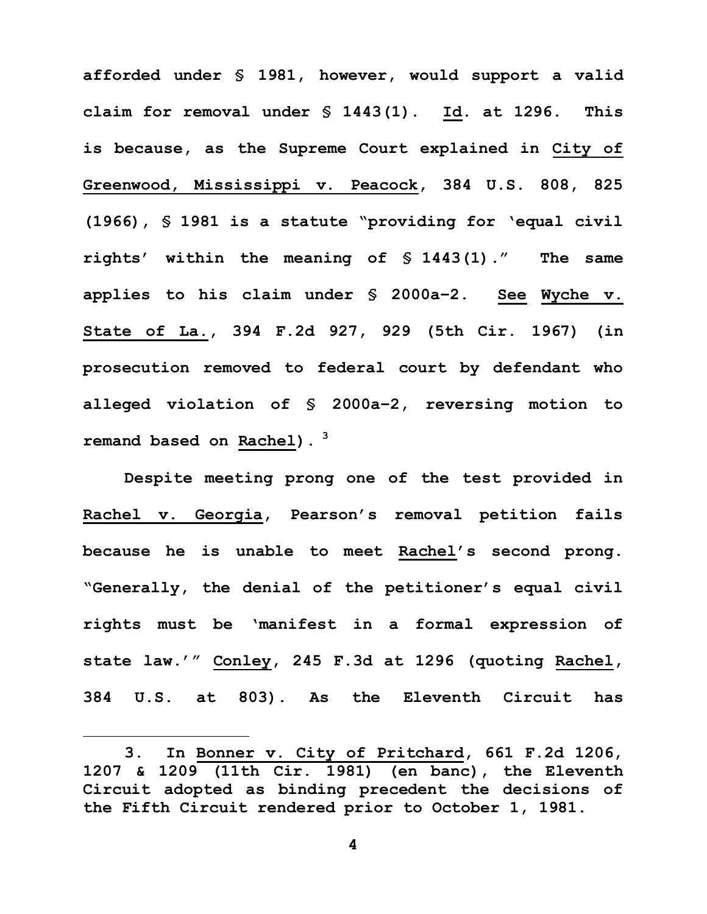**afforded under § 1981, however, would support a valid claim for removal under § 1443(1). Id. at 1296. This is because, as the Supreme Court explained in City of Greenwood, Mississippi v. Peacock, 384 U.S. 808, 825 (1966), § 1981 is a statute "providing for 'equal civil rights' within the meaning of § 1443(1)." The same applies to his claim under § 2000a–2. See Wyche v. State of La., 394 F.2d 927, 929 (5th Cir. 1967) (in prosecution removed to federal court by defendant who alleged violation of § 2000a–2, reversing motion to remand based on Rachel). <sup>3</sup>** 

**Despite meeting prong one of the test provided in Rachel v. Georgia, Pearson's removal petition fails because he is unable to meet Rachel's second prong. "Generally, the denial of the petitioner's equal civil rights must be 'manifest in a formal expression of state law.'" Conley, 245 F.3d at 1296 (quoting Rachel, 384 U.S. at 803). As the Eleventh Circuit has** 

i

**<sup>3.</sup> In Bonner v. City of Pritchard, 661 F.2d 1206, 1207 & 1209 (11th Cir. 1981) (en banc), the Eleventh Circuit adopted as binding precedent the decisions of the Fifth Circuit rendered prior to October 1, 1981.**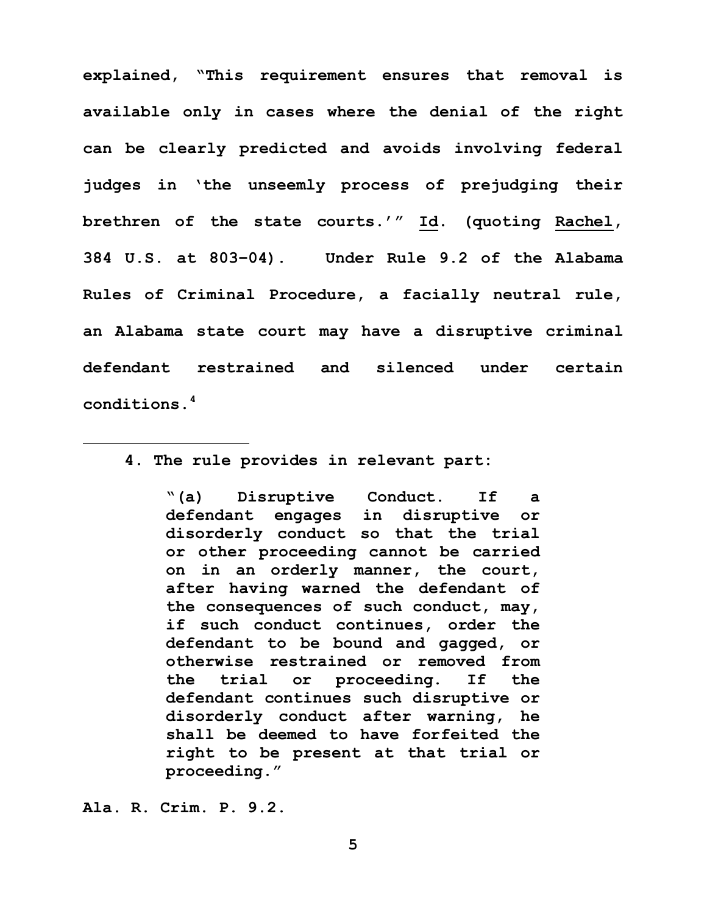**explained, "This requirement ensures that removal is available only in cases where the denial of the right can be clearly predicted and avoids involving federal judges in 'the unseemly process of prejudging their brethren of the state courts.'" Id. (quoting Rachel, 384 U.S. at 803–04). Under Rule 9.2 of the Alabama Rules of Criminal Procedure, a facially neutral rule, an Alabama state court may have a disruptive criminal defendant restrained and silenced under certain conditions. 4**

**4. The rule provides in relevant part:**

**"(a) Disruptive Conduct. If a defendant engages in disruptive or disorderly conduct so that the trial or other proceeding cannot be carried on in an orderly manner, the court, after having warned the defendant of the consequences of such conduct, may, if such conduct continues, order the defendant to be bound and gagged, or otherwise restrained or removed from the trial or proceeding. If the defendant continues such disruptive or disorderly conduct after warning, he shall be deemed to have forfeited the right to be present at that trial or proceeding."**

**Ala. R. Crim. P. 9.2.**

i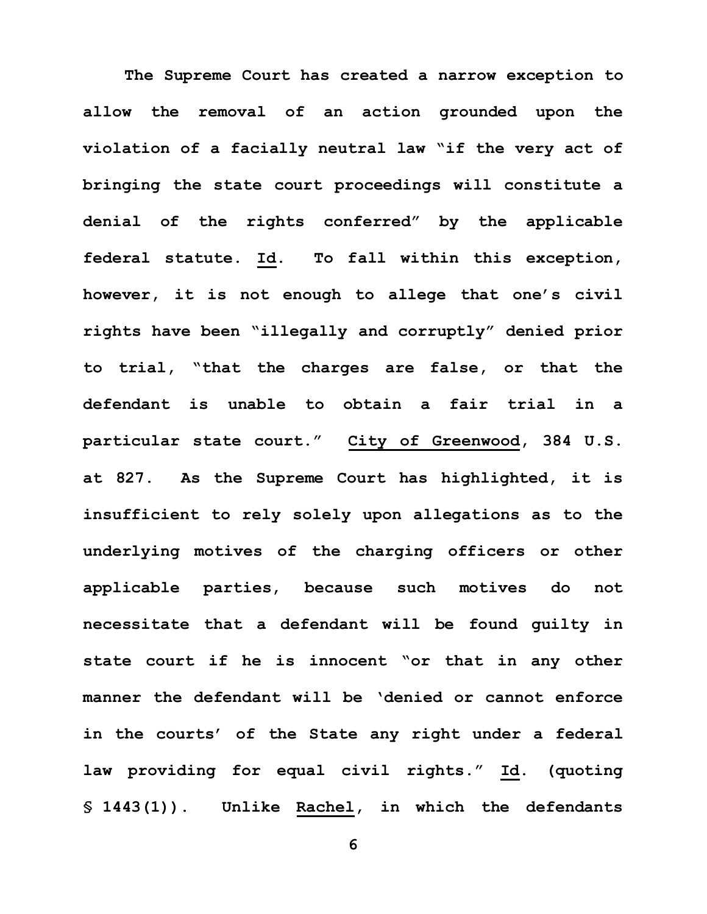**The Supreme Court has created a narrow exception to allow the removal of an action grounded upon the violation of a facially neutral law "if the very act of bringing the state court proceedings will constitute a denial of the rights conferred" by the applicable federal statute. Id. To fall within this exception, however, it is not enough to allege that one's civil rights have been "illegally and corruptly" denied prior to trial, "that the charges are false, or that the defendant is unable to obtain a fair trial in a particular state court." City of Greenwood, 384 U.S. at 827. As the Supreme Court has highlighted, it is insufficient to rely solely upon allegations as to the underlying motives of the charging officers or other applicable parties, because such motives do not necessitate that a defendant will be found guilty in state court if he is innocent "or that in any other manner the defendant will be 'denied or cannot enforce in the courts' of the State any right under a federal law providing for equal civil rights." Id. (quoting § 1443(1)). Unlike Rachel, in which the defendants**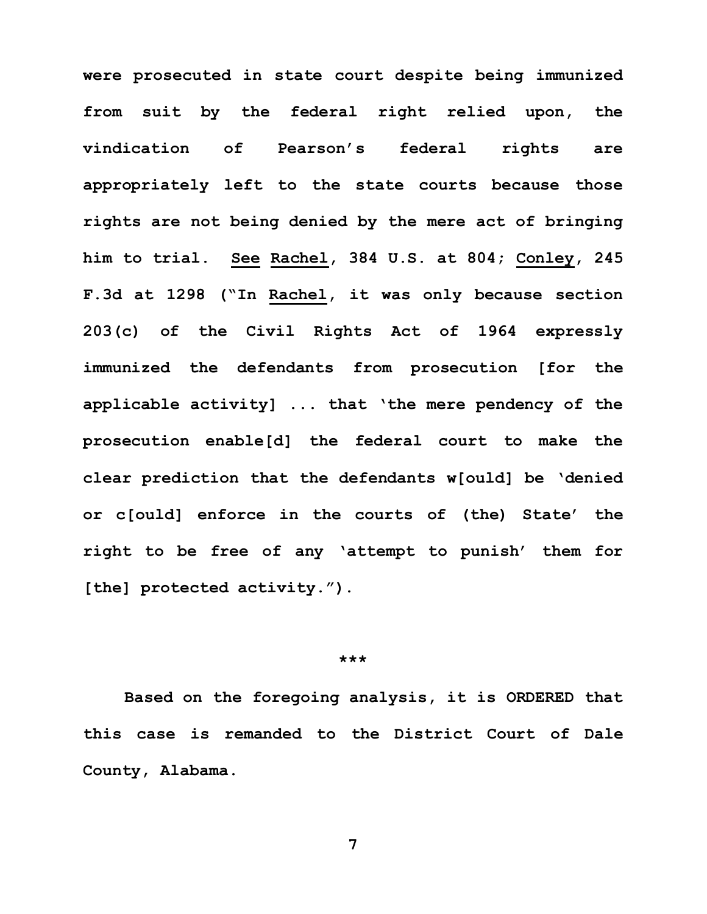**were prosecuted in state court despite being immunized from suit by the federal right relied upon, the vindication of Pearson's federal rights are appropriately left to the state courts because those rights are not being denied by the mere act of bringing him to trial. See Rachel, 384 U.S. at 804; Conley, 245 F.3d at 1298 ("In Rachel, it was only because section 203(c) of the Civil Rights Act of 1964 expressly immunized the defendants from prosecution [for the applicable activity] ... that 'the mere pendency of the prosecution enable[d] the federal court to make the clear prediction that the defendants w[ould] be 'denied or c[ould] enforce in the courts of (the) State' the right to be free of any 'attempt to punish' them for [the] protected activity.").**

## **\*\*\***

**Based on the foregoing analysis, it is ORDERED that this case is remanded to the District Court of Dale County, Alabama.**